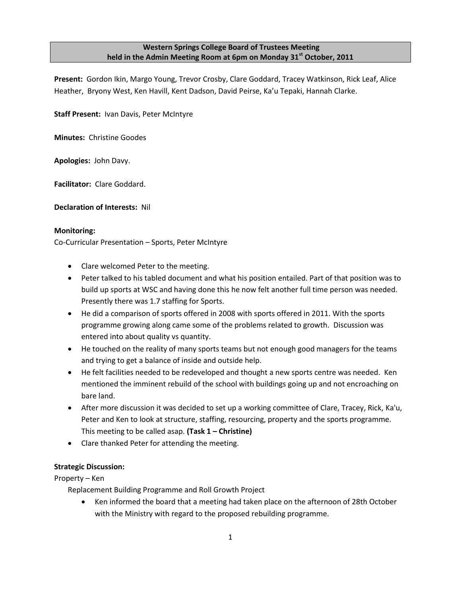## **Western Springs College Board of Trustees Meeting held in the Admin Meeting Room at 6pm on Monday 31st October, 2011**

**Present:** Gordon Ikin, Margo Young, Trevor Crosby, Clare Goddard, Tracey Watkinson, Rick Leaf, Alice Heather, Bryony West, Ken Havill, Kent Dadson, David Peirse, Ka'u Tepaki, Hannah Clarke.

**Staff Present:** Ivan Davis, Peter McIntyre

**Minutes:** Christine Goodes

**Apologies:** John Davy.

**Facilitator:** Clare Goddard.

**Declaration of Interests:** Nil

#### **Monitoring:**

Co-Curricular Presentation – Sports, Peter McIntyre

- Clare welcomed Peter to the meeting.
- Peter talked to his tabled document and what his position entailed. Part of that position was to build up sports at WSC and having done this he now felt another full time person was needed. Presently there was 1.7 staffing for Sports.
- He did a comparison of sports offered in 2008 with sports offered in 2011. With the sports programme growing along came some of the problems related to growth. Discussion was entered into about quality vs quantity.
- He touched on the reality of many sports teams but not enough good managers for the teams and trying to get a balance of inside and outside help.
- He felt facilities needed to be redeveloped and thought a new sports centre was needed. Ken mentioned the imminent rebuild of the school with buildings going up and not encroaching on bare land.
- After more discussion it was decided to set up a working committee of Clare, Tracey, Rick, Ka'u, Peter and Ken to look at structure, staffing, resourcing, property and the sports programme. This meeting to be called asap. **(Task 1 – Christine)**
- Clare thanked Peter for attending the meeting.

## **Strategic Discussion:**

Property – Ken

Replacement Building Programme and Roll Growth Project

 Ken informed the board that a meeting had taken place on the afternoon of 28th October with the Ministry with regard to the proposed rebuilding programme.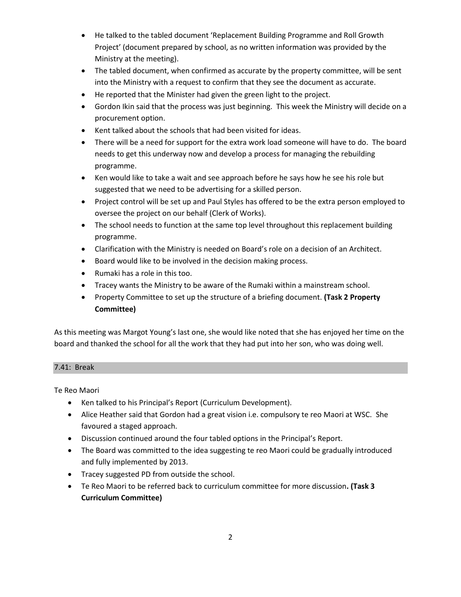- He talked to the tabled document 'Replacement Building Programme and Roll Growth Project' (document prepared by school, as no written information was provided by the Ministry at the meeting).
- The tabled document, when confirmed as accurate by the property committee, will be sent into the Ministry with a request to confirm that they see the document as accurate.
- He reported that the Minister had given the green light to the project.
- Gordon Ikin said that the process was just beginning. This week the Ministry will decide on a procurement option.
- Kent talked about the schools that had been visited for ideas.
- There will be a need for support for the extra work load someone will have to do. The board needs to get this underway now and develop a process for managing the rebuilding programme.
- Ken would like to take a wait and see approach before he says how he see his role but suggested that we need to be advertising for a skilled person.
- Project control will be set up and Paul Styles has offered to be the extra person employed to oversee the project on our behalf (Clerk of Works).
- The school needs to function at the same top level throughout this replacement building programme.
- Clarification with the Ministry is needed on Board's role on a decision of an Architect.
- Board would like to be involved in the decision making process.
- Rumaki has a role in this too.
- Tracey wants the Ministry to be aware of the Rumaki within a mainstream school.
- Property Committee to set up the structure of a briefing document. **(Task 2 Property Committee)**

As this meeting was Margot Young's last one, she would like noted that she has enjoyed her time on the board and thanked the school for all the work that they had put into her son, who was doing well.

## 7.41: Break

Te Reo Maori

- Ken talked to his Principal's Report (Curriculum Development).
- Alice Heather said that Gordon had a great vision i.e. compulsory te reo Maori at WSC. She favoured a staged approach.
- Discussion continued around the four tabled options in the Principal's Report.
- The Board was committed to the idea suggesting te reo Maori could be gradually introduced and fully implemented by 2013.
- Tracey suggested PD from outside the school.
- Te Reo Maori to be referred back to curriculum committee for more discussion**. (Task 3 Curriculum Committee)**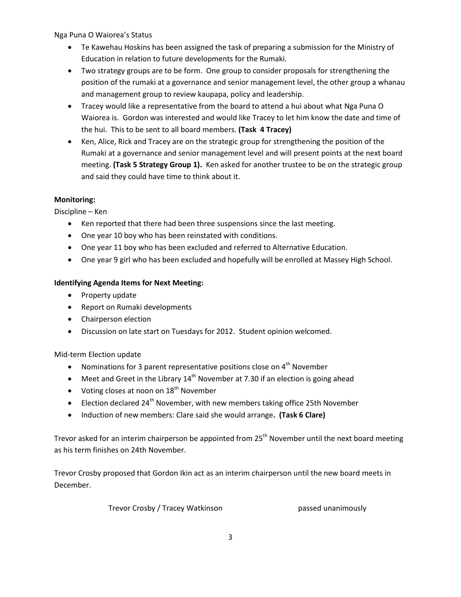Nga Puna O Waiorea's Status

- Te Kawehau Hoskins has been assigned the task of preparing a submission for the Ministry of Education in relation to future developments for the Rumaki.
- Two strategy groups are to be form. One group to consider proposals for strengthening the position of the rumaki at a governance and senior management level, the other group a whanau and management group to review kaupapa, policy and leadership.
- Tracey would like a representative from the board to attend a hui about what Nga Puna O Waiorea is. Gordon was interested and would like Tracey to let him know the date and time of the hui. This to be sent to all board members. **(Task 4 Tracey)**
- Ken, Alice, Rick and Tracey are on the strategic group for strengthening the position of the Rumaki at a governance and senior management level and will present points at the next board meeting. **(Task 5 Strategy Group 1).** Ken asked for another trustee to be on the strategic group and said they could have time to think about it.

## **Monitoring:**

Discipline – Ken

- Ken reported that there had been three suspensions since the last meeting.
- One year 10 boy who has been reinstated with conditions.
- One year 11 boy who has been excluded and referred to Alternative Education.
- One year 9 girl who has been excluded and hopefully will be enrolled at Massey High School.

## **Identifying Agenda Items for Next Meeting:**

- Property update
- Report on Rumaki developments
- Chairperson election
- Discussion on late start on Tuesdays for 2012. Student opinion welcomed.

## Mid-term Election update

- Nominations for 3 parent representative positions close on  $4<sup>th</sup>$  November
- $\bullet$  Meet and Greet in the Library 14<sup>th</sup> November at 7.30 if an election is going ahead
- $\bullet$  Voting closes at noon on  $18^{th}$  November
- Election declared 24<sup>th</sup> November, with new members taking office 25th November
- Induction of new members: Clare said she would arrange**. (Task 6 Clare)**

Trevor asked for an interim chairperson be appointed from  $25<sup>th</sup>$  November until the next board meeting as his term finishes on 24th November.

Trevor Crosby proposed that Gordon Ikin act as an interim chairperson until the new board meets in December.

Trevor Crosby / Tracey Watkinson **passed unanimously**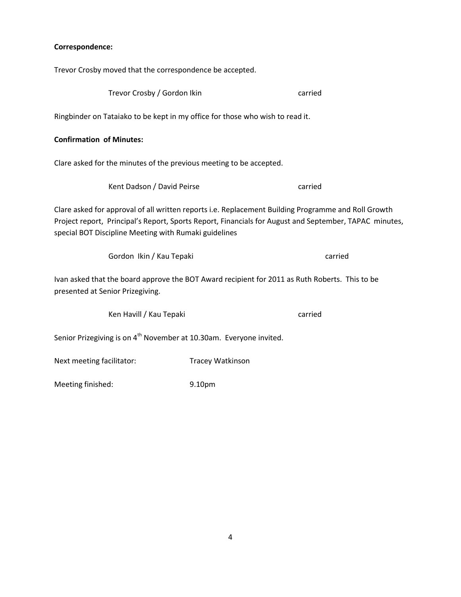## **Correspondence:**

Trevor Crosby moved that the correspondence be accepted.

| Trevor Crosby / Gordon Ikin                                                                                                                                                                                                                                            | carried |  |  |
|------------------------------------------------------------------------------------------------------------------------------------------------------------------------------------------------------------------------------------------------------------------------|---------|--|--|
| Ringbinder on Tataiako to be kept in my office for those who wish to read it.                                                                                                                                                                                          |         |  |  |
| <b>Confirmation of Minutes:</b>                                                                                                                                                                                                                                        |         |  |  |
| Clare asked for the minutes of the previous meeting to be accepted.                                                                                                                                                                                                    |         |  |  |
| Kent Dadson / David Peirse                                                                                                                                                                                                                                             | carried |  |  |
| Clare asked for approval of all written reports i.e. Replacement Building Programme and Roll Growth<br>Project report, Principal's Report, Sports Report, Financials for August and September, TAPAC minutes,<br>special BOT Discipline Meeting with Rumaki guidelines |         |  |  |
| Gordon Ikin / Kau Tepaki                                                                                                                                                                                                                                               | carried |  |  |
| Ivan asked that the board approve the BOT Award recipient for 2011 as Ruth Roberts. This to be<br>presented at Senior Prizegiving.                                                                                                                                     |         |  |  |
| Ken Havill / Kau Tepaki                                                                                                                                                                                                                                                | carried |  |  |
| Senior Prizegiving is on 4 <sup>th</sup> November at 10.30am. Everyone invited.                                                                                                                                                                                        |         |  |  |

Next meeting facilitator: Tracey Watkinson

Meeting finished: 9.10pm